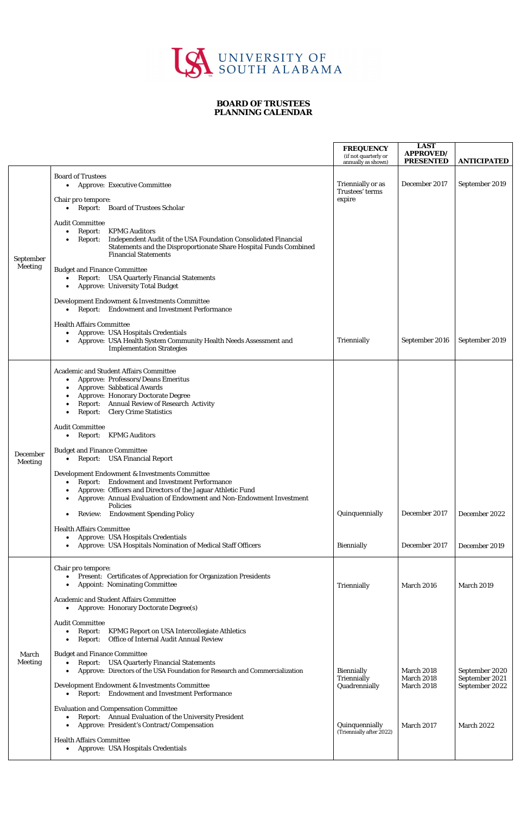

## **BOARD OF TRUSTEES PLANNING CALENDAR**

|                             |                                                                                                                                                                                                                                                                                        | <b>FREQUENCY</b><br>(if not quarterly or          | <b>LAST</b><br><b>APPROVED/</b>                             |                                                    |
|-----------------------------|----------------------------------------------------------------------------------------------------------------------------------------------------------------------------------------------------------------------------------------------------------------------------------------|---------------------------------------------------|-------------------------------------------------------------|----------------------------------------------------|
|                             |                                                                                                                                                                                                                                                                                        | annually as shown)                                | <b>PRESENTED</b>                                            | <b>ANTICIPATED</b>                                 |
| September<br><b>Meeting</b> | <b>Board of Trustees</b><br><b>Approve: Executive Committee</b><br>$\bullet$                                                                                                                                                                                                           | Triennially or as<br>Trustees' terms              | December 2017                                               | September 2019                                     |
|                             | Chair pro tempore:<br>• Report: Board of Trustees Scholar                                                                                                                                                                                                                              | expire                                            |                                                             |                                                    |
|                             | <b>Audit Committee</b><br><b>KPMG Auditors</b><br>Report:<br>$\bullet$<br>Independent Audit of the USA Foundation Consolidated Financial<br>Report:<br><b>Statements and the Disproportionate Share Hospital Funds Combined</b><br><b>Financial Statements</b>                         |                                                   |                                                             |                                                    |
|                             | <b>Budget and Finance Committee</b><br><b>Report:</b> USA Quarterly Financial Statements<br>$\bullet$<br><b>Approve: University Total Budget</b>                                                                                                                                       |                                                   |                                                             |                                                    |
|                             | Development Endowment & Investments Committee<br><b>Report:</b> Endowment and Investment Performance<br>$\bullet$                                                                                                                                                                      |                                                   |                                                             |                                                    |
|                             | <b>Health Affairs Committee</b><br><b>Approve: USA Hospitals Credentials</b><br>$\bullet$<br>Approve: USA Health System Community Health Needs Assessment and<br><b>Implementation Strategies</b>                                                                                      | Triennially                                       | September 2016                                              | September 2019                                     |
| December<br><b>Meeting</b>  | <b>Academic and Student Affairs Committee</b><br>Approve: Professors/Deans Emeritus<br>$\bullet$<br><b>Approve: Sabbatical Awards</b><br><b>Approve: Honorary Doctorate Degree</b><br>Report: Annual Review of Research Activity<br><b>Clery Crime Statistics</b><br>Report:           |                                                   |                                                             |                                                    |
|                             | <b>Audit Committee</b><br><b>Report: KPMG Auditors</b><br>$\bullet$                                                                                                                                                                                                                    |                                                   |                                                             |                                                    |
|                             | <b>Budget and Finance Committee</b><br>• Report: USA Financial Report                                                                                                                                                                                                                  |                                                   |                                                             |                                                    |
|                             | <b>Development Endowment &amp; Investments Committee</b><br><b>Report:</b> Endowment and Investment Performance<br>$\bullet$<br>Approve: Officers and Directors of the Jaguar Athletic Fund<br>Approve: Annual Evaluation of Endowment and Non-Endowment Investment<br><b>Policies</b> |                                                   |                                                             |                                                    |
|                             | <b>Review:</b> Endowment Spending Policy                                                                                                                                                                                                                                               | Quinquennially                                    | December 2017                                               | December 2022                                      |
|                             | <b>Health Affairs Committee</b><br>Approve: USA Hospitals Credentials<br>$\bullet$<br>Approve: USA Hospitals Nomination of Medical Staff Officers                                                                                                                                      | <b>Biennially</b>                                 | December 2017                                               | December 2019                                      |
| March<br><b>Meeting</b>     | Chair pro tempore:<br>Present: Certificates of Appreciation for Organization Presidents<br>$\bullet$<br><b>Appoint: Nominating Committee</b>                                                                                                                                           | Triennially                                       | <b>March 2016</b>                                           | <b>March 2019</b>                                  |
|                             | <b>Academic and Student Affairs Committee</b><br><b>Approve: Honorary Doctorate Degree(s)</b><br>$\bullet$                                                                                                                                                                             |                                                   |                                                             |                                                    |
|                             | <b>Audit Committee</b><br><b>KPMG Report on USA Intercollegiate Athletics</b><br>Report:<br>$\bullet$<br>Office of Internal Audit Annual Review<br>Report:                                                                                                                             |                                                   |                                                             |                                                    |
|                             | <b>Budget and Finance Committee</b><br><b>Report:</b> USA Quarterly Financial Statements<br>Approve: Directors of the USA Foundation for Research and Commercialization                                                                                                                | <b>Biennially</b><br>Triennially<br>Quadrennially | <b>March 2018</b><br><b>March 2018</b><br><b>March 2018</b> | September 2020<br>September 2021<br>September 2022 |
|                             | Development Endowment & Investments Committee<br><b>Report:</b> Endowment and Investment Performance<br>$\bullet$                                                                                                                                                                      |                                                   |                                                             |                                                    |
|                             | <b>Evaluation and Compensation Committee</b><br>Report: Annual Evaluation of the University President<br>$\bullet$<br>Approve: President's Contract/Compensation                                                                                                                       | Quinquennially<br>(Triennially after 2022)        | March 2017                                                  | <b>March 2022</b>                                  |
|                             | <b>Health Affairs Committee</b><br><b>Approve: USA Hospitals Credentials</b><br>$\bullet$                                                                                                                                                                                              |                                                   |                                                             |                                                    |